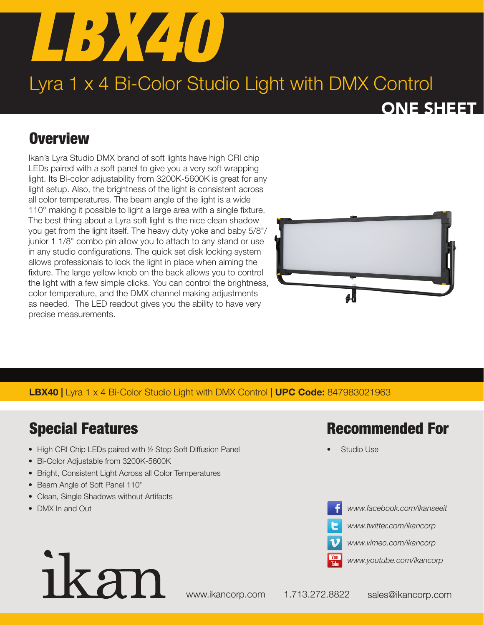

# Lyra 1 x 4 Bi-Color Studio Light with DMX Control

## ONE SHEET

# **Overview**

Ikan's Lyra Studio DMX brand of soft lights have high CRI chip LEDs paired with a soft panel to give you a very soft wrapping light. Its Bi-color adjustability from 3200K-5600K is great for any light setup. Also, the brightness of the light is consistent across all color temperatures. The beam angle of the light is a wide 110° making it possible to light a large area with a single fixture. The best thing about a Lyra soft light is the nice clean shadow you get from the light itself. The heavy duty yoke and baby 5/8"/ junior 1 1/8" combo pin allow you to attach to any stand or use in any studio configurations. The quick set disk locking system allows professionals to lock the light in place when aiming the fixture. The large yellow knob on the back allows you to control the light with a few simple clicks. You can control the brightness, color temperature, and the DMX channel making adjustments as needed. The LED readout gives you the ability to have very precise measurements.



#### LBX40 | Lyra 1 x 4 Bi-Color Studio Light with DMX Control | UPC Code: 847983021963

# Special Features

- High CRI Chip LEDs paired with 1/2 Stop Soft Diffusion Panel
- Bi-Color Adjustable from 3200K-5600K
- Bright, Consistent Light Across all Color Temperatures
- Beam Angle of Soft Panel 110°
- Clean, Single Shadows without Artifacts
- DMX In and Out

### Recommended For

Studio Use



*www.facebook.com/ikanseeit*

*www.twitter.com/ikancorp*

*www.vimeo.com/ikancorp*



# ikan